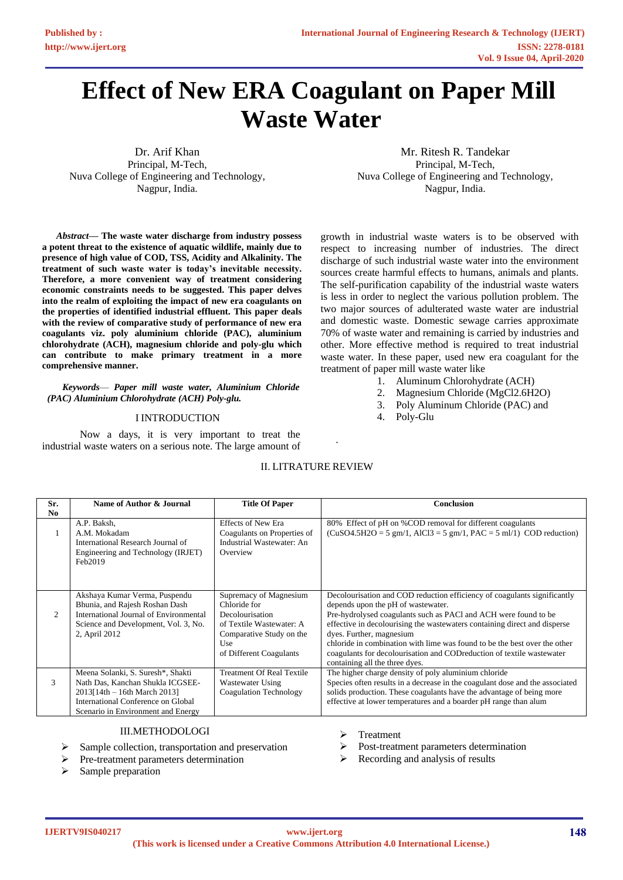# **Effect of New ERA Coagulant on Paper Mill Waste Water**

Dr. Arif Khan Principal, M-Tech, Nuva College of Engineering and Technology, Nagpur, India.

*Abstract***— The waste water discharge from industry possess a potent threat to the existence of aquatic wildlife, mainly due to presence of high value of COD, TSS, Acidity and Alkalinity. The treatment of such waste water is today's inevitable necessity. Therefore, a more convenient way of treatment considering economic constraints needs to be suggested. This paper delves into the realm of exploiting the impact of new era coagulants on the properties of identified industrial effluent. This paper deals with the review of comparative study of performance of new era coagulants viz. poly aluminium chloride (PAC), aluminium chlorohydrate (ACH), magnesium chloride and poly-glu which can contribute to make primary treatment in a more comprehensive manner.** 

*Keywords*— *Paper mill waste water, Aluminium Chloride (PAC) Aluminium Chlorohydrate (ACH) Poly-glu.* 

## I INTRODUCTION

Now a days, it is very important to treat the industrial waste waters on a serious note. The large amount of

Mr. Ritesh R. Tandekar Principal, M-Tech, Nuva College of Engineering and Technology, Nagpur, India.

growth in industrial waste waters is to be observed with respect to increasing number of industries. The direct discharge of such industrial waste water into the environment sources create harmful effects to humans, animals and plants. The self-purification capability of the industrial waste waters is less in order to neglect the various pollution problem. The two major sources of adulterated waste water are industrial and domestic waste. Domestic sewage carries approximate 70% of waste water and remaining is carried by industries and other. More effective method is required to treat industrial waste water. In these paper, used new era coagulant for the treatment of paper mill waste water like

- 1. Aluminum Chlorohydrate (ACH)
- 2. Magnesium Chloride (MgCl2.6H2O)
- 3. Poly Aluminum Chloride (PAC) and
- 4. Poly-Glu

| Sr.<br>No | Name of Author & Journal                                                                                                                                                            | <b>Title Of Paper</b>                                                                                                                               | <b>Conclusion</b>                                                                                                                                                                                                                                                                                                                                                                                                                                                                    |
|-----------|-------------------------------------------------------------------------------------------------------------------------------------------------------------------------------------|-----------------------------------------------------------------------------------------------------------------------------------------------------|--------------------------------------------------------------------------------------------------------------------------------------------------------------------------------------------------------------------------------------------------------------------------------------------------------------------------------------------------------------------------------------------------------------------------------------------------------------------------------------|
|           | A.P. Baksh,<br>A.M. Mokadam<br>International Research Journal of<br>Engineering and Technology (IRJET)<br>Feb2019                                                                   | <b>Effects of New Era</b><br>Coagulants on Properties of<br>Industrial Wastewater: An<br>Overview                                                   | 80% Effect of pH on %COD removal for different coagulants<br>$(CuSO4.5H2O = 5 gm/1, AIC13 = 5 gm/1, PAC = 5 ml/1) COD reduction)$                                                                                                                                                                                                                                                                                                                                                    |
| 2         | Akshaya Kumar Verma, Puspendu<br>Bhunia, and Rajesh Roshan Dash<br>International Journal of Environmental<br>Science and Development, Vol. 3, No.<br>2, April 2012                  | Supremacy of Magnesium<br>Chloride for<br>Decolourisation<br>of Textile Wastewater: A<br>Comparative Study on the<br>Use<br>of Different Coagulants | Decolourisation and COD reduction efficiency of coagulants significantly<br>depends upon the pH of wastewater.<br>Pre-hydrolysed coagulants such as PACl and ACH were found to be<br>effective in decolourising the wastewaters containing direct and disperse<br>dyes. Further, magnesium<br>chloride in combination with lime was found to be the best over the other<br>coagulants for decolourisation and COD reduction of textile was tewater<br>containing all the three dyes. |
| 3         | Meena Solanki, S. Suresh*, Shakti<br>Nath Das, Kanchan Shukla ICGSEE-<br>$2013[14th - 16th March 2013]$<br>International Conference on Global<br>Scenario in Environment and Energy | <b>Treatment Of Real Textile</b><br>Wastewater Using<br>Coagulation Technology                                                                      | The higher charge density of poly aluminium chloride<br>Species often results in a decrease in the coagulant dose and the associated<br>solids production. These coagulants have the advantage of being more<br>effective at lower temperatures and a boarder pH range than alum                                                                                                                                                                                                     |

.

II. LITRATURE REVIEW

# III.METHODOLOGI

- ➢ Sample collection, transportation and preservation
- ➢ Pre-treatment parameters determination

Sample preparation

- ➢ Treatment
- ➢ Post-treatment parameters determination
- $\triangleright$  Recording and analysis of results

**IJERTV9IS040217**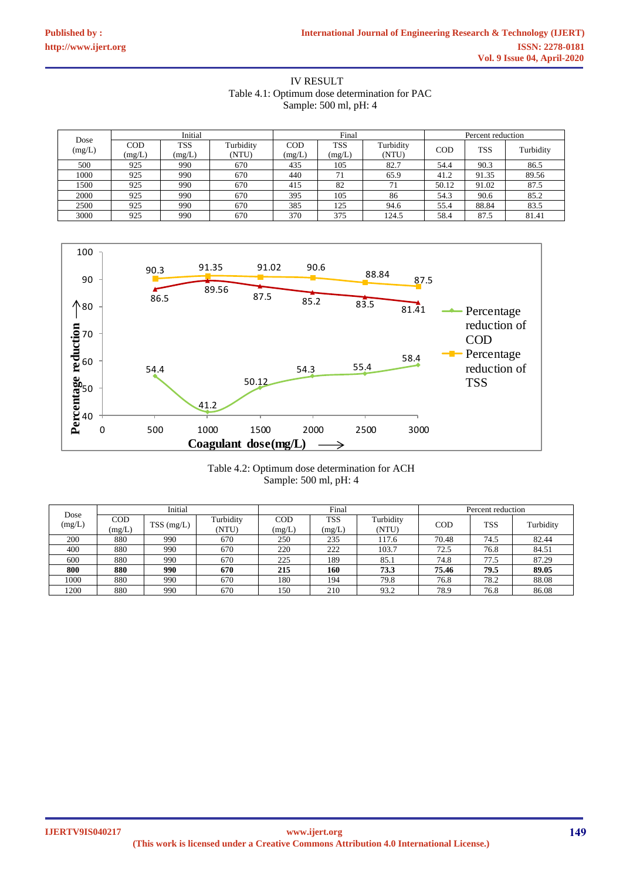IV RESULT Table 4.1: Optimum dose determination for PAC Sample: 500 ml, pH: 4

|                | Initial              |                      | Final              |                      |                      | Percent reduction  |       |       |           |
|----------------|----------------------|----------------------|--------------------|----------------------|----------------------|--------------------|-------|-------|-----------|
| Dose<br>(mg/L) | <b>COD</b><br>(mg/L) | <b>TSS</b><br>(mg/L) | Turbidity<br>(NTU) | <b>COD</b><br>(mg/L) | <b>TSS</b><br>(mg/L) | Turbidity<br>(NTU) | COD   | TSS   | Turbidity |
| 500            | 925                  | 990                  | 670                | 435                  | 105                  | 82.7               | 54.4  | 90.3  | 86.5      |
| 1000           | 925                  | 990                  | 670                | 440                  | 71                   | 65.9               | 41.2  | 91.35 | 89.56     |
| 1500           | 925                  | 990                  | 670                | 415                  | 82                   | 71                 | 50.12 | 91.02 | 87.5      |
| 2000           | 925                  | 990                  | 670                | 395                  | 105                  | 86                 | 54.3  | 90.6  | 85.2      |
| 2500           | 925                  | 990                  | 670                | 385                  | 125                  | 94.6               | 55.4  | 88.84 | 83.5      |
| 3000           | 925                  | 990                  | 670                | 370                  | 375                  | 124.5              | 58.4  | 87.5  | 81.41     |



# Table 4.2: Optimum dose determination for ACH Sample: 500 ml, pH: 4

| Dose   | Initial       |              |                    | Final         |                      |                    | Percent reduction |            |           |
|--------|---------------|--------------|--------------------|---------------|----------------------|--------------------|-------------------|------------|-----------|
| (mg/L) | COD<br>(mg/L) | $TSS$ (mg/L) | Turbidity<br>(NTU) | COD<br>(mg/L) | <b>TSS</b><br>(mg/L) | Turbidity<br>(NTU) | COD               | <b>TSS</b> | Turbidity |
| 200    | 880           | 990          | 670                | 250           | 235                  | 117.6              | 70.48             | 74.5       | 82.44     |
| 400    | 880           | 990          | 670                | 220           | 222                  | 103.7              | 72.5              | 76.8       | 84.51     |
| 600    | 880           | 990          | 670                | 225           | 189                  | 85.1               | 74.8              | 77.5       | 87.29     |
| 800    | 880           | 990          | 670                | 215           | 160                  | 73.3               | 75.46             | 79.5       | 89.05     |
| 1000   | 880           | 990          | 670                | 180           | 194                  | 79.8               | 76.8              | 78.2       | 88.08     |
| 1200   | 880           | 990          | 670                | 150           | 210                  | 93.2               | 78.9              | 76.8       | 86.08     |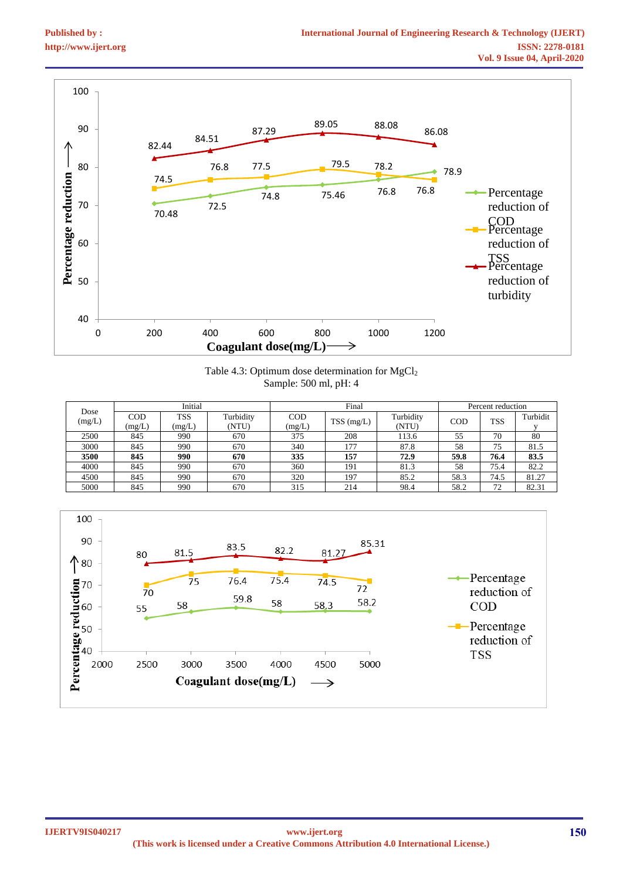

Table 4.3: Optimum dose determination for MgCl<sub>2</sub> Sample: 500 ml, pH: 4

| Dose   |            | Initial    |           |        | Final      |           |      | Percent reduction |          |
|--------|------------|------------|-----------|--------|------------|-----------|------|-------------------|----------|
| (mg/L) | <b>COD</b> | <b>TSS</b> | Turbidity | COD    |            | Turbidity | COD  | <b>TSS</b>        | Turbidit |
|        | (mg/L)     | (mg/L)     | (NTU)     | (mg/L) | TSS (mg/L) | (NTU)     |      |                   |          |
| 2500   | 845        | 990        | 670       | 375    | 208        | 113.6     | 55   | 70                | 80       |
| 3000   | 845        | 990        | 670       | 340    | 177        | 87.8      | 58   | 75                | 81.5     |
| 3500   | 845        | 990        | 670       | 335    | 157        | 72.9      | 59.8 | 76.4              | 83.5     |
| 4000   | 845        | 990        | 670       | 360    | 191        | 81.3      | 58   | 75.4              | 82.2     |
| 4500   | 845        | 990        | 670       | 320    | 197        | 85.2      | 58.3 | 74.5              | 81.27    |
| 5000   | 845        | 990        | 670       | 315    | 214        | 98.4      | 58.2 | 72                | 82.31    |

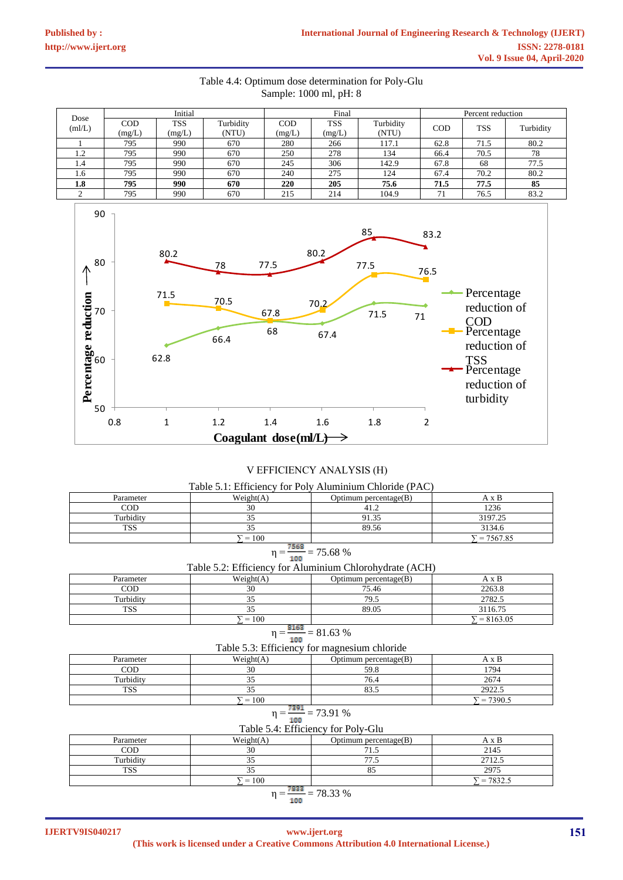# Table 4.4: Optimum dose determination for Poly-Glu Sample: 1000 ml, pH: 8

| Dose                | Initial       |                      | Final              |               |                      | Percent reduction  |      |            |           |
|---------------------|---------------|----------------------|--------------------|---------------|----------------------|--------------------|------|------------|-----------|
| (mI/L)              | COD<br>(mg/L) | <b>TSS</b><br>(mg/L) | Turbidity<br>(NTU) | COD<br>(mg/L) | <b>TSS</b><br>(mg/L) | Turbidity<br>(NTU) | COD  | <b>TSS</b> | Turbidity |
|                     | 795           | 990                  | 670                | 280           | 266                  | 117.1              | 62.8 | 71.5       | 80.2      |
| $\sqrt{ }$<br>. . 2 | 795           | 990                  | 670                | 250           | 278                  | 134                | 66.4 | 70.5       | 78        |
| 1.4                 | 795           | 990                  | 670                | 245           | 306                  | 142.9              | 67.8 | 68         | 77.5      |
| 1.6                 | 795           | 990                  | 670                | 240           | 275                  | 124                | 67.4 | 70.2       | 80.2      |
| 1.8                 | 795           | 990                  | 670                | <b>220</b>    | 205                  | 75.6               | 71.5 | 77.5       | 85        |
|                     | 795           | 990                  | 670                | 215           | 214                  | 104.9              | 71   | 76.5       | 83.2      |



# V EFFICIENCY ANALYSIS (Η)

| Table 5.1: Efficiency for Poly Aluminium Chloride (PAC) |           |                          |         |  |  |  |  |
|---------------------------------------------------------|-----------|--------------------------|---------|--|--|--|--|
| Parameter                                               | Weight(A) | Optimum percentage $(B)$ | A x B   |  |  |  |  |
| COD                                                     | 30        | 41.2                     | 1236    |  |  |  |  |
| Turbidity                                               |           | 91.35                    | 3197.25 |  |  |  |  |
| TSS                                                     |           | 89.56                    | 3134.6  |  |  |  |  |
| $= 7567.85$<br>$i = 100$                                |           |                          |         |  |  |  |  |
| $n = \frac{7568}{ }$<br>75.68%                          |           |                          |         |  |  |  |  |

$$
\eta = \frac{75.68}{100} = 75.68\%
$$

| Table 5.2: Efficiency for Aluminium Chlorohydrate (ACH) |
|---------------------------------------------------------|
|---------------------------------------------------------|

| Parameter  | Weight(A)  | Optimum percentage $(B)$ | хB          |
|------------|------------|--------------------------|-------------|
| COD        | 30         | 75.46                    | 2263.8      |
| Turbidity  | ັ          | 79.5                     | 2782.5      |
| <b>TSS</b> | <u>. .</u> | 89.05                    | 3116.75     |
|            | 100<br>$=$ |                          | $= 8163.05$ |

# $\eta = \frac{8163}{100} = 81.63\%$

| Table 5.3: Efficiency for magnesium chloride |                 |                          |              |  |  |  |  |
|----------------------------------------------|-----------------|--------------------------|--------------|--|--|--|--|
| Parameter                                    | Weight(A)       | Optimum percentage $(B)$ | A x B        |  |  |  |  |
| COD                                          | 30              | 59.8                     | 1794         |  |  |  |  |
| Turbiditv                                    |                 | 76.4                     | 2674         |  |  |  |  |
| TSS                                          |                 | 83.5                     | 2922.5       |  |  |  |  |
|                                              | $\bar{r} = 100$ |                          | $r = 7390.5$ |  |  |  |  |

$$
\eta = \frac{7391}{100} = 73.91\%
$$

Table 5.4: Efficiency for Poly-Glu

| Parameter                  | Weight(A) | Optimum percentage $(B)$ | A x B  |  |  |  |  |
|----------------------------|-----------|--------------------------|--------|--|--|--|--|
| COD                        | 30        | 71.5                     | 2145   |  |  |  |  |
| Turbidity                  | 35        | 77.5                     | 2712.5 |  |  |  |  |
| TSS                        |           |                          | 2975   |  |  |  |  |
| $= 100$<br>$= 7832.5$      |           |                          |        |  |  |  |  |
| 7833<br>78.33 %<br>$- - -$ |           |                          |        |  |  |  |  |

$$
\eta = \frac{200}{100} = 78.3
$$

**IJERTV9IS040217**

# **(This work is licensed under a Creative Commons Attribution 4.0 International License.) www.ijert.org 151**